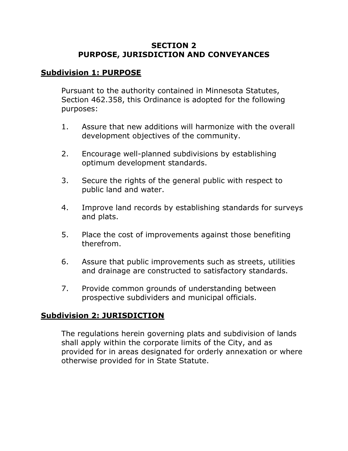#### **SECTION 2 PURPOSE, JURISDICTION AND CONVEYANCES**

#### **Subdivision 1: PURPOSE**

Pursuant to the authority contained in Minnesota Statutes, Section 462.358, this Ordinance is adopted for the following purposes:

- 1. Assure that new additions will harmonize with the overall development objectives of the community.
- 2. Encourage well-planned subdivisions by establishing optimum development standards.
- 3. Secure the rights of the general public with respect to public land and water.
- 4. Improve land records by establishing standards for surveys and plats.
- 5. Place the cost of improvements against those benefiting therefrom.
- 6. Assure that public improvements such as streets, utilities and drainage are constructed to satisfactory standards.
- 7. Provide common grounds of understanding between prospective subdividers and municipal officials.

## **Subdivision 2: JURISDICTION**

The regulations herein governing plats and subdivision of lands shall apply within the corporate limits of the City, and as provided for in areas designated for orderly annexation or where otherwise provided for in State Statute.